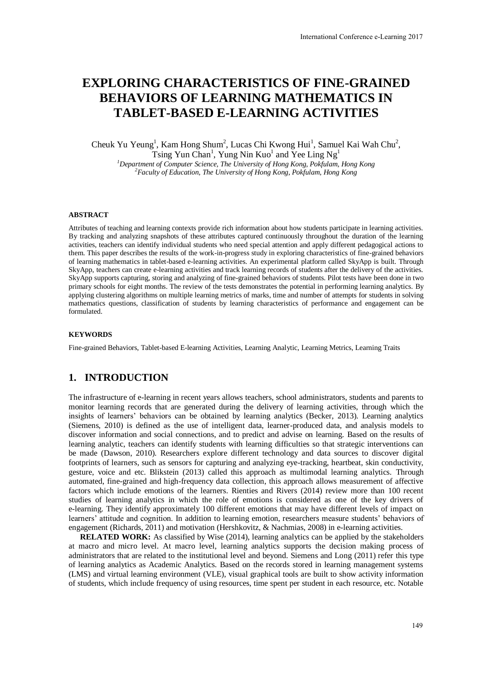# **EXPLORING CHARACTERISTICS OF FINE-GRAINED BEHAVIORS OF LEARNING MATHEMATICS IN TABLET-BASED E-LEARNING ACTIVITIES**

Cheuk Yu Yeung<sup>1</sup>, Kam Hong Shum<sup>2</sup>, Lucas Chi Kwong Hui<sup>1</sup>, Samuel Kai Wah Chu<sup>2</sup>, Tsing Yun Chan<sup>1</sup>, Yung Nin Kuo<sup>1</sup> and Yee Ling Ng<sup>1</sup>

*<sup>1</sup>Department of Computer Science, The University of Hong Kong, Pokfulam, Hong Kong <sup>2</sup>Faculty of Education, The University of Hong Kong, Pokfulam, Hong Kong* 

#### **ABSTRACT**

Attributes of teaching and learning contexts provide rich information about how students participate in learning activities. By tracking and analyzing snapshots of these attributes captured continuously throughout the duration of the learning activities, teachers can identify individual students who need special attention and apply different pedagogical actions to them. This paper describes the results of the work-in-progress study in exploring characteristics of fine-grained behaviors of learning mathematics in tablet-based e-learning activities. An experimental platform called SkyApp is built. Through SkyApp, teachers can create e-learning activities and track learning records of students after the delivery of the activities. SkyApp supports capturing, storing and analyzing of fine-grained behaviors of students. Pilot tests have been done in two primary schools for eight months. The review of the tests demonstrates the potential in performing learning analytics. By applying clustering algorithms on multiple learning metrics of marks, time and number of attempts for students in solving mathematics questions, classification of students by learning characteristics of performance and engagement can be formulated.

#### **KEYWORDS**

Fine-grained Behaviors, Tablet-based E-learning Activities, Learning Analytic, Learning Metrics, Learning Traits

## **1. INTRODUCTION**

The infrastructure of e-learning in recent years allows teachers, school administrators, students and parents to monitor learning records that are generated during the delivery of learning activities, through which the insights of learners' behaviors can be obtained by learning analytics (Becker, 2013). Learning analytics (Siemens, 2010) is defined as the use of intelligent data, learner-produced data, and analysis models to discover information and social connections, and to predict and advise on learning. Based on the results of learning analytic, teachers can identify students with learning difficulties so that strategic interventions can be made (Dawson, 2010). Researchers explore different technology and data sources to discover digital footprints of learners, such as sensors for capturing and analyzing eye-tracking, heartbeat, skin conductivity, gesture, voice and etc. Blikstein (2013) called this approach as multimodal learning analytics. Through automated, fine-grained and high-frequency data collection, this approach allows measurement of affective factors which include emotions of the learners. Rienties and Rivers (2014) review more than 100 recent studies of learning analytics in which the role of emotions is considered as one of the key drivers of e-learning. They identify approximately 100 different emotions that may have different levels of impact on learners' attitude and cognition. In addition to learning emotion, researchers measure students' behaviors of engagement (Richards, 2011) and motivation (Hershkovitz, & Nachmias, 2008) in e-learning activities.

**RELATED WORK:** As classified by Wise (2014), learning analytics can be applied by the stakeholders at macro and micro level. At macro level, learning analytics supports the decision making process of administrators that are related to the institutional level and beyond. Siemens and Long (2011) refer this type of learning analytics as Academic Analytics. Based on the records stored in learning management systems (LMS) and virtual learning environment (VLE), visual graphical tools are built to show activity information of students, which include frequency of using resources, time spent per student in each resource, etc. Notable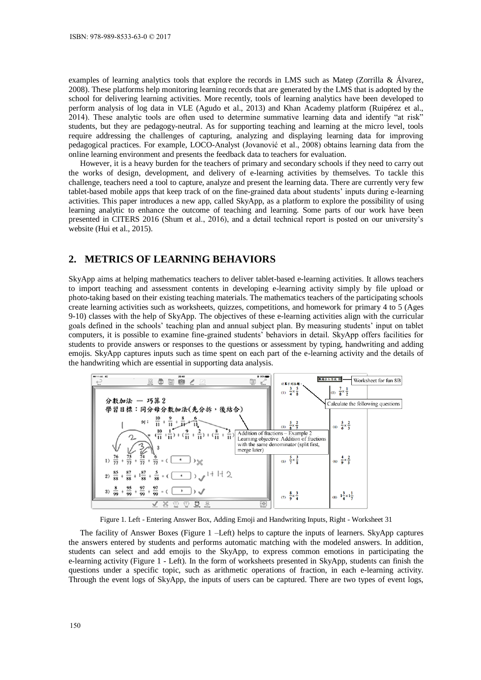examples of learning analytics tools that explore the records in LMS such as Matep (Zorrilla & Álvarez, 2008). These platforms help monitoring learning records that are generated by the LMS that is adopted by the school for delivering learning activities. More recently, tools of learning analytics have been developed to perform analysis of log data in VLE (Agudo et al., 2013) and Khan Academy platform (Ruipérez et al., 2014). These analytic tools are often used to determine summative learning data and identify "at risk" students, but they are pedagogy-neutral. As for supporting teaching and learning at the micro level, tools require addressing the challenges of capturing, analyzing and displaying learning data for improving pedagogical practices. For example, LOCO-Analyst (Jovanović et al., 2008) obtains learning data from the online learning environment and presents the feedback data to teachers for evaluation.

However, it is a heavy burden for the teachers of primary and secondary schools if they need to carry out the works of design, development, and delivery of e-learning activities by themselves. To tackle this challenge, teachers need a tool to capture, analyze and present the learning data. There are currently very few tablet-based mobile apps that keep track of on the fine-grained data about students' inputs during e-learning activities. This paper introduces a new app, called SkyApp, as a platform to explore the possibility of using learning analytic to enhance the outcome of teaching and learning. Some parts of our work have been presented in CITERS 2016 (Shum et al., 2016), and a detail technical report is posted on our university's website (Hui et al., 2015).

### **2. METRICS OF LEARNING BEHAVIORS**

SkyApp aims at helping mathematics teachers to deliver tablet-based e-learning activities. It allows teachers to import teaching and assessment contents in developing e-learning activity simply by file upload or photo-taking based on their existing teaching materials. The mathematics teachers of the participating schools create learning activities such as worksheets, quizzes, competitions, and homework for primary 4 to 5 (Ages 9-10) classes with the help of SkyApp. The objectives of these e-learning activities align with the curricular goals defined in the schools' teaching plan and annual subject plan. By measuring students' input on tablet computers, it is possible to examine fine-grained students' behaviors in detail. SkyApp offers facilities for students to provide answers or responses to the questions or assessment by typing, handwriting and adding emojis. SkyApp captures inputs such as time spent on each part of the e-learning activity and the details of the handwriting which are essential in supporting data analysis.



Figure 1. Left - Entering Answer Box, Adding Emoji and Handwriting Inputs, Right - Worksheet 31

The facility of Answer Boxes (Figure 1 –Left) helps to capture the inputs of learners. SkyApp captures the answers entered by students and performs automatic matching with the modeled answers. In addition, students can select and add emojis to the SkyApp, to express common emotions in participating the e-learning activity (Figure 1 - Left). In the form of worksheets presented in SkyApp, students can finish the questions under a specific topic, such as arithmetic operations of fraction, in each e-learning activity. Through the event logs of SkyApp, the inputs of users can be captured. There are two types of event logs,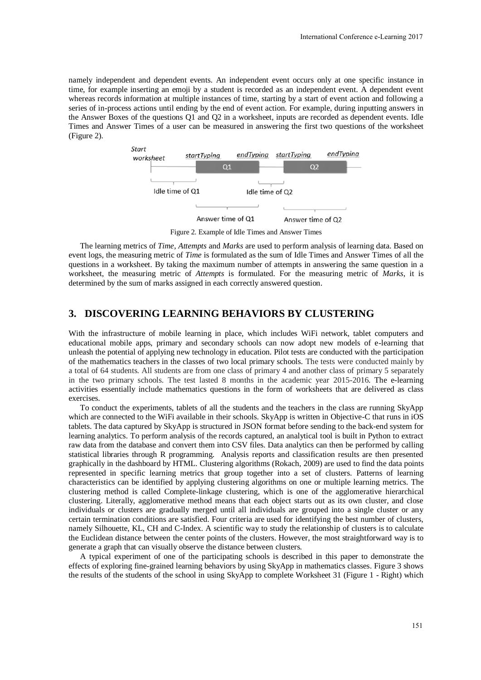namely independent and dependent events. An independent event occurs only at one specific instance in time, for example inserting an emoji by a student is recorded as an independent event. A dependent event whereas records information at multiple instances of time, starting by a start of event action and following a series of in-process actions until ending by the end of event action. For example, during inputting answers in the Answer Boxes of the questions Q1 and Q2 in a worksheet, inputs are recorded as dependent events. Idle Times and Answer Times of a user can be measured in answering the first two questions of the worksheet (Figure 2).



Figure 2. Example of Idle Times and Answer Times

The learning metrics of *Time, Attempts* and *Marks* are used to perform analysis of learning data. Based on event logs, the measuring metric of *Time* is formulated as the sum of Idle Times and Answer Times of all the questions in a worksheet. By taking the maximum number of attempts in answering the same question in a worksheet, the measuring metric of *Attempts* is formulated. For the measuring metric of *Marks*, it is determined by the sum of marks assigned in each correctly answered question.

# **3. DISCOVERING LEARNING BEHAVIORS BY CLUSTERING**

With the infrastructure of mobile learning in place, which includes WiFi network, tablet computers and educational mobile apps, primary and secondary schools can now adopt new models of e-learning that unleash the potential of applying new technology in education. Pilot tests are conducted with the participation of the mathematics teachers in the classes of two local primary schools. The tests were conducted mainly by a total of 64 students. All students are from one class of primary 4 and another class of primary 5 separately in the two primary schools. The test lasted 8 months in the academic year 2015-2016. The e-learning activities essentially include mathematics questions in the form of worksheets that are delivered as class exercises.

To conduct the experiments, tablets of all the students and the teachers in the class are running SkyApp which are connected to the WiFi available in their schools. SkyApp is written in Objective-C that runs in iOS tablets. The data captured by SkyApp is structured in JSON format before sending to the back-end system for learning analytics. To perform analysis of the records captured, an analytical tool is built in Python to extract raw data from the database and convert them into CSV files. Data analytics can then be performed by calling statistical libraries through R programming. Analysis reports and classification results are then presented graphically in the dashboard by HTML. Clustering algorithms (Rokach, 2009) are used to find the data points represented in specific learning metrics that group together into a set of clusters. Patterns of learning characteristics can be identified by applying clustering algorithms on one or multiple learning metrics. The clustering method is called Complete-linkage clustering, which is one of the agglomerative hierarchical clustering. Literally, agglomerative method means that each object starts out as its own cluster, and close individuals or clusters are gradually merged until all individuals are grouped into a single cluster or any certain termination conditions are satisfied. Four criteria are used for identifying the best number of clusters, namely Silhouette, KL, CH and C-Index. A scientific way to study the relationship of clusters is to calculate the Euclidean distance between the center points of the clusters. However, the most straightforward way is to generate a graph that can visually observe the distance between clusters.

A typical experiment of one of the participating schools is described in this paper to demonstrate the effects of exploring fine-grained learning behaviors by using SkyApp in mathematics classes. Figure 3 shows the results of the students of the school in using SkyApp to complete Worksheet 31 (Figure 1 - Right) which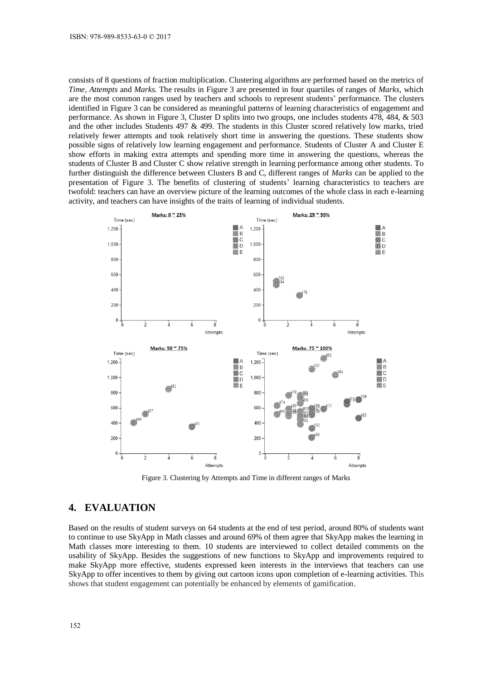consists of 8 questions of fraction multiplication. Clustering algorithms are performed based on the metrics of *Time*, *Attempts* and *Marks.* The results in Figure 3 are presented in four quartiles of ranges of *Marks*, which are the most common ranges used by teachers and schools to represent students' performance. The clusters identified in Figure 3 can be considered as meaningful patterns of learning characteristics of engagement and performance. As shown in Figure 3, Cluster D splits into two groups, one includes students 478, 484, & 503 and the other includes Students 497 & 499. The students in this Cluster scored relatively low marks, tried relatively fewer attempts and took relatively short time in answering the questions. These students show possible signs of relatively low learning engagement and performance. Students of Cluster A and Cluster E show efforts in making extra attempts and spending more time in answering the questions, whereas the students of Cluster B and Cluster C show relative strength in learning performance among other students. To further distinguish the difference between Clusters B and C, different ranges of *Marks* can be applied to the presentation of Figure 3. The benefits of clustering of students' learning characteristics to teachers are twofold: teachers can have an overview picture of the learning outcomes of the whole class in each e-learning activity, and teachers can have insights of the traits of learning of individual students.



Figure 3. Clustering by Attempts and Time in different ranges of Marks

## **4. EVALUATION**

Based on the results of student surveys on 64 students at the end of test period, around 80% of students want to continue to use SkyApp in Math classes and around 69% of them agree that SkyApp makes the learning in Math classes more interesting to them. 10 students are interviewed to collect detailed comments on the usability of SkyApp. Besides the suggestions of new functions to SkyApp and improvements required to make SkyApp more effective, students expressed keen interests in the interviews that teachers can use SkyApp to offer incentives to them by giving out cartoon icons upon completion of e-learning activities. This shows that student engagement can potentially be enhanced by elements of gamification.